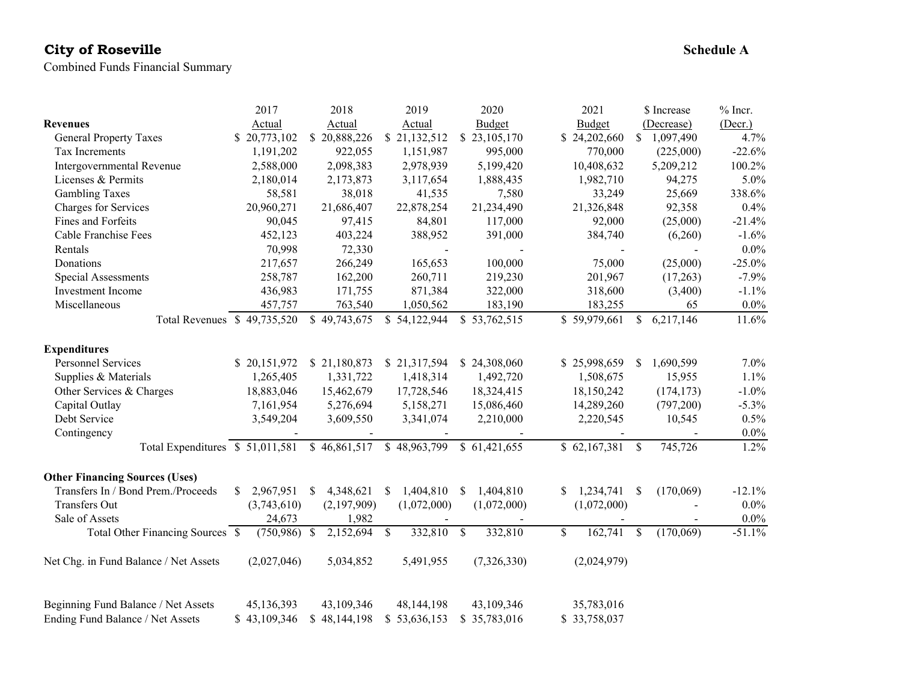# **City of Roseville**

Combined Funds Financial Summary

|                                                | 2017            | 2018                       | 2019                      | 2020            | 2021                     | \$ Increase                | $%$ Incr. |
|------------------------------------------------|-----------------|----------------------------|---------------------------|-----------------|--------------------------|----------------------------|-----------|
| <b>Revenues</b>                                | Actual          | Actual                     | Actual                    | Budget          | Budget                   | (Decrease)                 | (Decr.)   |
| <b>General Property Taxes</b>                  | \$20,773,102    | \$20,888,226               | \$21,132,512              | \$23,105,170    | \$24,202,660             | 1,097,490<br>S.            | 4.7%      |
| Tax Increments                                 | 1,191,202       | 922,055                    | 1,151,987                 | 995,000         | 770,000                  | (225,000)                  | $-22.6%$  |
| Intergovernmental Revenue                      | 2,588,000       | 2,098,383                  | 2,978,939                 | 5,199,420       | 10,408,632               | 5,209,212                  | 100.2%    |
| Licenses & Permits                             | 2,180,014       | 2,173,873                  | 3,117,654                 | 1,888,435       | 1,982,710                | 94,275                     | 5.0%      |
| <b>Gambling Taxes</b>                          | 58,581          | 38,018                     | 41,535                    | 7,580           | 33,249                   | 25,669                     | 338.6%    |
| Charges for Services                           | 20,960,271      | 21,686,407                 | 22,878,254                | 21,234,490      | 21,326,848               | 92,358                     | 0.4%      |
| Fines and Forfeits                             | 90,045          | 97,415                     | 84,801                    | 117,000         | 92,000                   | (25,000)                   | $-21.4%$  |
| Cable Franchise Fees                           | 452,123         | 403,224                    | 388,952                   | 391,000         | 384,740                  | (6,260)                    | $-1.6%$   |
| Rentals                                        | 70,998          | 72,330                     | $\overline{a}$            | $\overline{a}$  |                          | $\blacksquare$             | $0.0\%$   |
| Donations                                      | 217,657         | 266,249                    | 165,653                   | 100,000         | 75,000                   | (25,000)                   | $-25.0%$  |
| Special Assessments                            | 258,787         | 162,200                    | 260,711                   | 219,230         | 201,967                  | (17,263)                   | $-7.9%$   |
| Investment Income                              | 436,983         | 171,755                    | 871,384                   | 322,000         | 318,600                  | (3,400)                    | $-1.1%$   |
| Miscellaneous                                  | 457,757         | 763,540                    | 1,050,562                 | 183,190         | 183,255                  | 65                         | $0.0\%$   |
| Total Revenues \$49,735,520                    |                 | \$49,743,675               | \$54,122,944              | \$53,762,515    | \$59,979,661             | \$<br>6,217,146            | 11.6%     |
| <b>Expenditures</b>                            |                 |                            |                           |                 |                          |                            |           |
| <b>Personnel Services</b>                      | \$20,151,972    | \$21,180,873               | \$21,317,594              | \$24,308,060    | \$25,998,659             | 1,690,599<br><sup>\$</sup> | 7.0%      |
| Supplies & Materials                           | 1,265,405       | 1,331,722                  | 1,418,314                 | 1,492,720       | 1,508,675                | 15,955                     | 1.1%      |
| Other Services & Charges                       | 18,883,046      | 15,462,679                 | 17,728,546                | 18,324,415      | 18,150,242               | (174, 173)                 | $-1.0%$   |
| Capital Outlay                                 | 7,161,954       | 5,276,694                  | 5,158,271                 | 15,086,460      | 14,289,260               | (797,200)                  | $-5.3%$   |
| Debt Service                                   | 3,549,204       | 3,609,550                  | 3,341,074                 | 2,210,000       | 2,220,545                | 10,545                     | 0.5%      |
| Contingency                                    |                 |                            |                           |                 |                          |                            | $0.0\%$   |
| Total Expenditures \$ 51,011,581 \$ 46,861,517 |                 |                            | \$48,963,799              | \$61,421,655    | \$62,167,381             | 745,726<br>-S              | 1.2%      |
| <b>Other Financing Sources (Uses)</b>          |                 |                            |                           |                 |                          |                            |           |
| Transfers In / Bond Prem./Proceeds             | \$<br>2,967,951 | 4,348,621<br><sup>\$</sup> | 1,404,810<br><sup>S</sup> | \$<br>1,404,810 | \$<br>1,234,741          | <sup>\$</sup><br>(170,069) | $-12.1%$  |
| Transfers Out                                  | (3,743,610)     | (2,197,909)                | (1,072,000)               | (1,072,000)     | (1,072,000)              |                            | $0.0\%$   |
| Sale of Assets                                 | 24,673          | 1,982                      |                           |                 |                          |                            | $0.0\%$   |
| Total Other Financing Sources \$               | $(750,986)$ \$  | 2,152,694                  | 332,810<br>$\mathcal{S}$  | 332,810<br>\$   | 162,741<br><sup>\$</sup> | \$<br>(170,069)            | $-51.1%$  |
| Net Chg. in Fund Balance / Net Assets          | (2,027,046)     | 5,034,852                  | 5,491,955                 | (7,326,330)     | (2,024,979)              |                            |           |
| Beginning Fund Balance / Net Assets            | 45,136,393      | 43,109,346                 | 48,144,198                | 43,109,346      | 35,783,016               |                            |           |
| Ending Fund Balance / Net Assets               | \$43,109,346    | \$48,144,198               | \$53,636,153              | \$35,783,016    | \$33,758,037             |                            |           |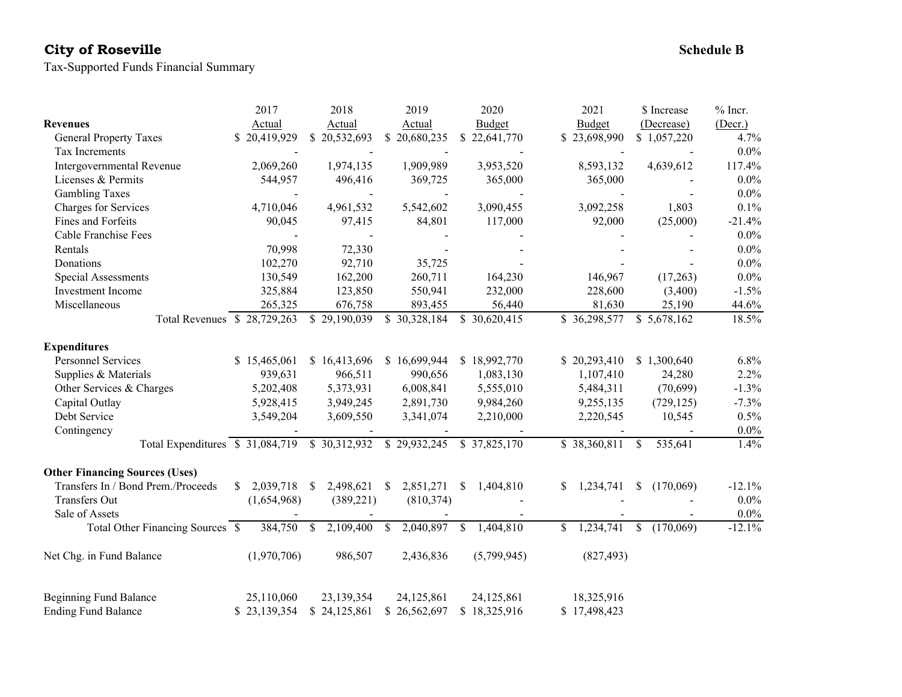# **City of Roseville**

Tax-Supported Funds Financial Summary

|                                       | 2017                       | 2018                       | 2019                       | 2020            | 2021            | \$ Increase                | $%$ Incr. |
|---------------------------------------|----------------------------|----------------------------|----------------------------|-----------------|-----------------|----------------------------|-----------|
| <b>Revenues</b>                       | Actual                     | Actual                     | Actual                     | Budget          | Budget          | (Decrease)                 | (Decr.)   |
| <b>General Property Taxes</b>         | \$20,419,929               | \$20,532,693               | \$20,680,235               | \$22,641,770    | \$23,698,990    | \$1,057,220                | 4.7%      |
| Tax Increments                        |                            |                            |                            |                 |                 |                            | $0.0\%$   |
| Intergovernmental Revenue             | 2,069,260                  | 1,974,135                  | 1,909,989                  | 3,953,520       | 8,593,132       | 4,639,612                  | 117.4%    |
| Licenses & Permits                    | 544,957                    | 496,416                    | 369,725                    | 365,000         | 365,000         |                            | $0.0\%$   |
| <b>Gambling Taxes</b>                 |                            |                            |                            |                 |                 |                            | $0.0\%$   |
| Charges for Services                  | 4,710,046                  | 4,961,532                  | 5,542,602                  | 3,090,455       | 3,092,258       | 1,803                      | 0.1%      |
| Fines and Forfeits                    | 90,045                     | 97,415                     | 84,801                     | 117,000         | 92,000          | (25,000)                   | $-21.4%$  |
| Cable Franchise Fees                  |                            |                            |                            |                 |                 |                            | $0.0\%$   |
| Rentals                               | 70,998                     | 72,330                     |                            |                 |                 |                            | $0.0\%$   |
| Donations                             | 102,270                    | 92,710                     | 35,725                     |                 |                 |                            | $0.0\%$   |
| Special Assessments                   | 130,549                    | 162,200                    | 260,711                    | 164,230         | 146,967         | (17,263)                   | $0.0\%$   |
| <b>Investment</b> Income              | 325,884                    | 123,850                    | 550,941                    | 232,000         | 228,600         | (3,400)                    | $-1.5%$   |
| Miscellaneous                         | 265,325                    | 676,758                    | 893,455                    | 56,440          | 81,630          | 25,190                     | 44.6%     |
| Total Revenues \$28,729,263           |                            | \$29,190,039               | \$30,328,184               | \$ 30,620,415   | \$36,298,577    | \$5,678,162                | $18.5\%$  |
| <b>Expenditures</b>                   |                            |                            |                            |                 |                 |                            |           |
| <b>Personnel Services</b>             | \$15,465,061               | \$16,413,696               | \$16,699,944               | \$18,992,770    | \$20,293,410    | \$1,300,640                | 6.8%      |
| Supplies & Materials                  | 939,631                    | 966,511                    | 990,656                    | 1,083,130       | 1,107,410       | 24,280                     | 2.2%      |
| Other Services & Charges              | 5,202,408                  | 5,373,931                  | 6,008,841                  | 5,555,010       | 5,484,311       | (70, 699)                  | $-1.3%$   |
| Capital Outlay                        | 5,928,415                  | 3,949,245                  | 2,891,730                  | 9,984,260       | 9,255,135       | (729, 125)                 | $-7.3%$   |
| Debt Service                          | 3,549,204                  | 3,609,550                  | 3,341,074                  | 2,210,000       | 2,220,545       | 10,545                     | 0.5%      |
| Contingency                           |                            |                            |                            |                 |                 |                            | $0.0\%$   |
| Total Expenditures \$ 31,084,719      |                            | \$30,312,932               | \$29,932,245               | \$37,825,170    | \$38,360,811    | $\mathbb{S}$<br>535,641    | 1.4%      |
| <b>Other Financing Sources (Uses)</b> |                            |                            |                            |                 |                 |                            |           |
| Transfers In / Bond Prem./Proceeds    | 2,039,718<br><sup>\$</sup> | 2,498,621<br><sup>\$</sup> | 2,851,271<br><sup>S</sup>  | \$<br>1,404,810 | 1,234,741<br>S. | (170,069)<br><sup>\$</sup> | $-12.1%$  |
| Transfers Out                         | (1,654,968)                | (389, 221)                 | (810, 374)                 |                 |                 |                            | $0.0\%$   |
| Sale of Assets                        |                            |                            |                            |                 |                 |                            | $0.0\%$   |
| Total Other Financing Sources \$      | 384,750                    | 2,109,400<br>\$            | $\mathcal{S}$<br>2,040,897 | \$<br>1,404,810 | 1,234,741<br>\$ | \$<br>(170,069)            | $-12.1%$  |
| Net Chg. in Fund Balance              | (1,970,706)                | 986,507                    | 2,436,836                  | (5,799,945)     | (827, 493)      |                            |           |
| <b>Beginning Fund Balance</b>         | 25,110,060                 | 23,139,354                 | 24,125,861                 | 24,125,861      | 18,325,916      |                            |           |
| <b>Ending Fund Balance</b>            | \$23,139,354               | \$24,125,861               | \$26,562,697               | \$18,325,916    | \$17,498,423    |                            |           |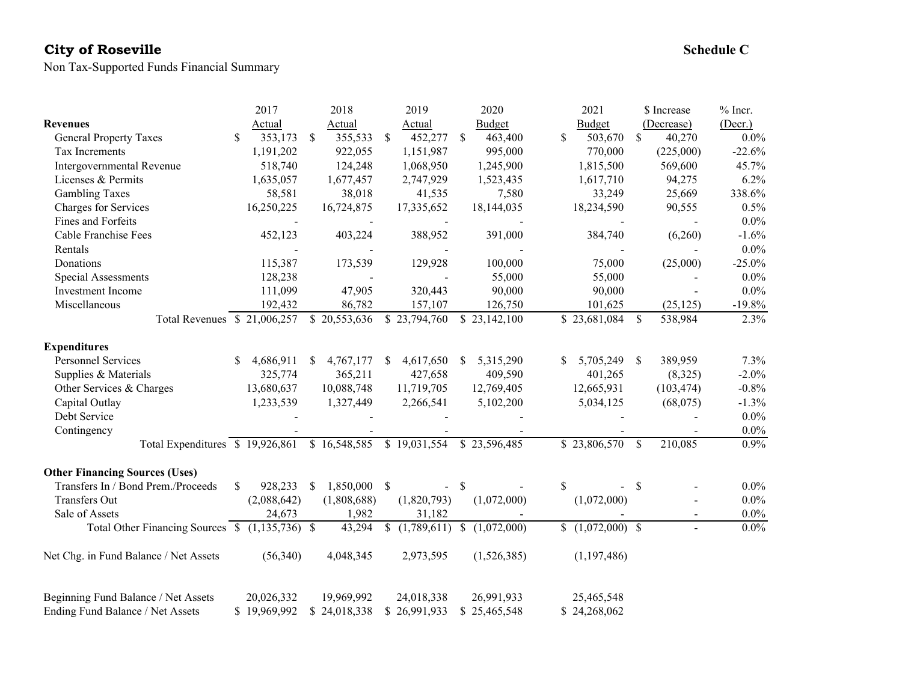# **City of Roseville** Schedule C Schedule C Schedule C Schedule C Schedule C Schedule C

Non Tax-Supported Funds Financial Summary

|                                                 | 2017             | 2018                      | 2019                     | 2020                      | 2021              | \$ Increase              | $%$ Incr. |
|-------------------------------------------------|------------------|---------------------------|--------------------------|---------------------------|-------------------|--------------------------|-----------|
| <b>Revenues</b>                                 | Actual           | Actual                    | Actual                   | Budget                    | <b>Budget</b>     | (Decrease)               | (Decr.)   |
| <b>General Property Taxes</b>                   | \$<br>353,173    | \$<br>355,533             | 452,277<br><sup>\$</sup> | <sup>\$</sup><br>463,400  | \$<br>503,670     | $\mathbb{S}$<br>40,270   | $0.0\%$   |
| Tax Increments                                  | 1,191,202        | 922,055                   | 1,151,987                | 995,000                   | 770,000           | (225,000)                | $-22.6%$  |
| Intergovernmental Revenue                       | 518,740          | 124,248                   | 1,068,950                | 1,245,900                 | 1,815,500         | 569,600                  | 45.7%     |
| Licenses & Permits                              | 1,635,057        | 1,677,457                 | 2,747,929                | 1,523,435                 | 1,617,710         | 94,275                   | 6.2%      |
| <b>Gambling Taxes</b>                           | 58,581           | 38,018                    | 41,535                   | 7,580                     | 33,249            | 25,669                   | 338.6%    |
| Charges for Services                            | 16,250,225       | 16,724,875                | 17,335,652               | 18,144,035                | 18,234,590        | 90,555                   | 0.5%      |
| Fines and Forfeits                              |                  |                           |                          |                           |                   |                          | $0.0\%$   |
| Cable Franchise Fees                            | 452,123          | 403,224                   | 388,952                  | 391,000                   | 384,740           | (6,260)                  | $-1.6%$   |
| Rentals                                         |                  |                           |                          |                           |                   |                          | $0.0\%$   |
| Donations                                       | 115,387          | 173,539                   | 129,928                  | 100,000                   | 75,000            | (25,000)                 | $-25.0%$  |
| Special Assessments                             | 128,238          |                           |                          | 55,000                    | 55,000            |                          | $0.0\%$   |
| Investment Income                               | 111,099          | 47,905                    | 320,443                  | 90,000                    | 90,000            |                          | $0.0\%$   |
| Miscellaneous                                   | 192,432          | 86,782                    | 157,107                  | 126,750                   | 101,625           | (25, 125)                | $-19.8%$  |
| Total Revenues \$21,006,257                     |                  | \$20,553,636              | \$23,794,760             | \$23,142,100              | \$23,681,084      | 538,984<br><sup>\$</sup> | 2.3%      |
| <b>Expenditures</b>                             |                  |                           |                          |                           |                   |                          |           |
| <b>Personnel Services</b>                       | 4,686,911<br>\$. | 4,767,177<br><sup>S</sup> | 4,617,650<br>-S          | 5,315,290<br><sup>S</sup> | 5,705,249         | 389,959<br><sup>S</sup>  | 7.3%      |
| Supplies & Materials                            | 325,774          | 365,211                   | 427,658                  | 409,590                   | 401,265           | (8,325)                  | $-2.0%$   |
| Other Services & Charges                        | 13,680,637       | 10,088,748                | 11,719,705               | 12,769,405                | 12,665,931        | (103, 474)               | $-0.8%$   |
| Capital Outlay                                  | 1,233,539        | 1,327,449                 | 2,266,541                | 5,102,200                 | 5,034,125         | (68,075)                 | $-1.3%$   |
| Debt Service                                    |                  |                           |                          |                           |                   |                          | $0.0\%$   |
| Contingency                                     |                  |                           |                          |                           |                   |                          | $0.0\%$   |
| Total Expenditures \$19,926,861 \$16,548,585    |                  |                           | \$19,031,554             | \$23,596,485              | \$23,806,570      | <sup>\$</sup><br>210,085 | 0.9%      |
| <b>Other Financing Sources (Uses)</b>           |                  |                           |                          |                           |                   |                          |           |
| Transfers In / Bond Prem./Proceeds              | \$<br>928,233    | 1,850,000<br><sup>S</sup> | -\$<br>$\blacksquare$    | $\mathbb{S}$              | \$                | <sup>S</sup>             | $0.0\%$   |
| <b>Transfers Out</b>                            | (2,088,642)      | (1,808,688)               | (1,820,793)              | (1,072,000)               | (1,072,000)       |                          | $0.0\%$   |
| Sale of Assets                                  | 24,673           | 1,982                     | 31,182                   |                           |                   | $\overline{\phantom{a}}$ | $0.0\%$   |
| Total Other Financing Sources \$ (1,135,736) \$ |                  | 43,294                    | (1,789,611)<br>\$        | (1,072,000)               | $$(1,072,000)$ \$ | $\blacksquare$           | $0.0\%$   |
| Net Chg. in Fund Balance / Net Assets           | (56,340)         | 4,048,345                 | 2,973,595                | (1,526,385)               | (1,197,486)       |                          |           |
| Beginning Fund Balance / Net Assets             | 20,026,332       | 19,969,992                | 24,018,338               | 26,991,933                | 25,465,548        |                          |           |
| Ending Fund Balance / Net Assets                | \$19,969,992     | \$24,018,338              | \$26,991,933             | \$25,465,548              | \$24,268,062      |                          |           |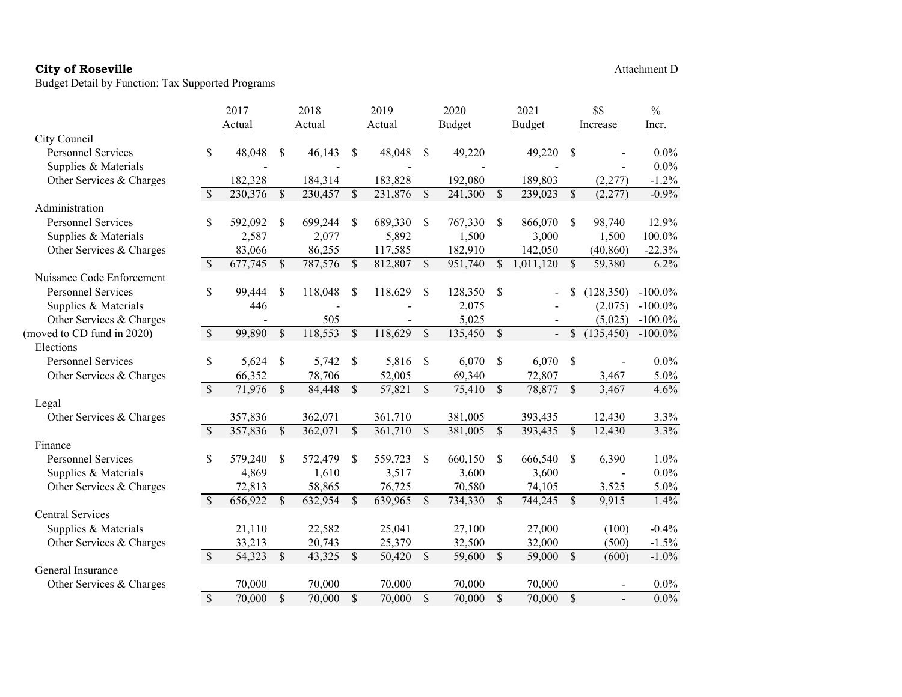|                            |                          | Actual  |               | Actual  |                          | Actual  |               | <b>Budget</b> |               | Budget         |               | Increase   | Incr.      |
|----------------------------|--------------------------|---------|---------------|---------|--------------------------|---------|---------------|---------------|---------------|----------------|---------------|------------|------------|
| City Council               |                          |         |               |         |                          |         |               |               |               |                |               |            |            |
| <b>Personnel Services</b>  | \$                       | 48,048  | \$            | 46,143  | \$                       | 48,048  | \$            | 49,220        |               | 49,220         | <sup>\$</sup> |            | 0.0%       |
| Supplies & Materials       |                          |         |               |         |                          |         |               |               |               |                |               |            | $0.0\%$    |
| Other Services & Charges   |                          | 182,328 |               | 184,314 |                          | 183,828 |               | 192,080       |               | 189,803        |               | (2,277)    | $-1.2%$    |
|                            | $\mathcal{S}$            | 230,376 | $\mathcal{S}$ | 230,457 | $\mathbb{S}$             | 231,876 | $\mathcal{S}$ | 241,300       | \$            | 239,023        | $\mathbb{S}$  | (2,277)    | $-0.9%$    |
| Administration             |                          |         |               |         |                          |         |               |               |               |                |               |            |            |
| <b>Personnel Services</b>  | \$                       | 592,092 | \$            | 699,244 | -S                       | 689,330 | \$            | 767,330       | \$.           | 866,070        | <sup>\$</sup> | 98,740     | 12.9%      |
| Supplies & Materials       |                          | 2,587   |               | 2,077   |                          | 5,892   |               | 1,500         |               | 3,000          |               | 1,500      | 100.0%     |
| Other Services & Charges   |                          | 83,066  |               | 86,255  |                          | 117,585 |               | 182,910       |               | 142,050        |               | (40, 860)  | $-22.3%$   |
|                            | $\overline{\mathcal{S}}$ | 677,745 | $\mathcal{S}$ | 787,576 | $\mathcal{S}$            | 812,807 | $\mathcal{S}$ | 951,740       | $\mathbb{S}$  | 1,011,120      | $\mathcal{S}$ | 59,380     | 6.2%       |
| Nuisance Code Enforcement  |                          |         |               |         |                          |         |               |               |               |                |               |            |            |
| <b>Personnel Services</b>  | \$                       | 99,444  | \$            | 118,048 | <sup>\$</sup>            | 118,629 | $\mathbb{S}$  | 128,350       | <sup>\$</sup> |                |               | (128,350)  | $-100.0\%$ |
| Supplies & Materials       |                          | 446     |               |         |                          |         |               | 2,075         |               |                |               | (2,075)    | $-100.0\%$ |
| Other Services & Charges   |                          |         |               | 505     |                          |         |               | 5,025         |               |                |               | (5,025)    | $-100.0\%$ |
| (moved to CD fund in 2020) | $\mathbb{S}$             | 99,890  | $\sqrt{\ }$   | 118,553 | \$                       | 118,629 | $\mathcal{S}$ | 135,450       | \$            | $\blacksquare$ | \$            | (135, 450) | $-100.0\%$ |
| Elections                  |                          |         |               |         |                          |         |               |               |               |                |               |            |            |
| <b>Personnel Services</b>  | \$                       | 5,624   | \$            | 5,742   | <sup>\$</sup>            | 5,816   | <sup>\$</sup> | 6,070         | \$            | 6,070          | \$            |            | $0.0\%$    |
| Other Services & Charges   |                          | 66,352  |               | 78,706  |                          | 52,005  |               | 69,340        |               | 72,807         |               | 3,467      | 5.0%       |
|                            | $\overline{\mathcal{S}}$ | 71,976  | $\mathbb{S}$  | 84,448  | $\overline{\mathcal{S}}$ | 57,821  | $\mathcal{S}$ | 75,410        | $\mathcal{S}$ | 78,877         | $\mathcal{S}$ | 3,467      | 4.6%       |
| Legal                      |                          |         |               |         |                          |         |               |               |               |                |               |            |            |
| Other Services & Charges   |                          | 357,836 |               | 362,071 |                          | 361,710 |               | 381,005       |               | 393,435        |               | 12,430     | 3.3%       |
|                            | $\mathbb{S}$             | 357,836 | \$            | 362,071 | \$                       | 361,710 | $\mathcal{S}$ | 381,005       | \$            | 393,435        | $\mathbb{S}$  | 12,430     | 3.3%       |
| Finance                    |                          |         |               |         |                          |         |               |               |               |                |               |            |            |
| <b>Personnel Services</b>  | \$                       | 579,240 | <sup>\$</sup> | 572,479 | <sup>\$</sup>            | 559,723 | <sup>\$</sup> | 660,150       | \$            | 666,540        | <sup>\$</sup> | 6,390      | 1.0%       |
| Supplies & Materials       |                          | 4,869   |               | 1,610   |                          | 3,517   |               | 3,600         |               | 3,600          |               |            | $0.0\%$    |
| Other Services & Charges   |                          | 72,813  |               | 58,865  |                          | 76,725  |               | 70,580        |               | 74,105         |               | 3,525      | 5.0%       |
|                            | $\mathbb{S}$             | 656,922 | $\mathbb{S}$  | 632,954 | $\overline{\mathcal{S}}$ | 639,965 | $\mathbb{S}$  | 734,330       | \$            | 744,245        | $\mathbb{S}$  | 9,915      | 1.4%       |
| Central Services           |                          |         |               |         |                          |         |               |               |               |                |               |            |            |
| Supplies & Materials       |                          | 21,110  |               | 22,582  |                          | 25,041  |               | 27,100        |               | 27,000         |               | (100)      | $-0.4%$    |
| Other Services & Charges   |                          | 33,213  |               | 20,743  |                          | 25,379  |               | 32,500        |               | 32,000         |               | (500)      | $-1.5%$    |
|                            | $\mathcal{S}$            | 54,323  | $\mathcal{S}$ | 43,325  | $\mathcal{S}$            | 50,420  | $\mathcal{S}$ | 59,600        | \$            | 59,000         | $\mathbb{S}$  | (600)      | $-1.0%$    |
| General Insurance          |                          |         |               |         |                          |         |               |               |               |                |               |            |            |
| Other Services & Charges   |                          | 70,000  |               | 70,000  |                          | 70,000  |               | 70,000        |               | 70,000         |               |            | $0.0\%$    |
|                            | $\overline{\mathcal{S}}$ | 70,000  | $\mathsf{\$}$ | 70,000  | $\mathcal{S}$            | 70,000  | $\mathcal{S}$ | 70,000        | $\mathcal{S}$ | 70,000         | $\mathbb{S}$  |            | $0.0\%$    |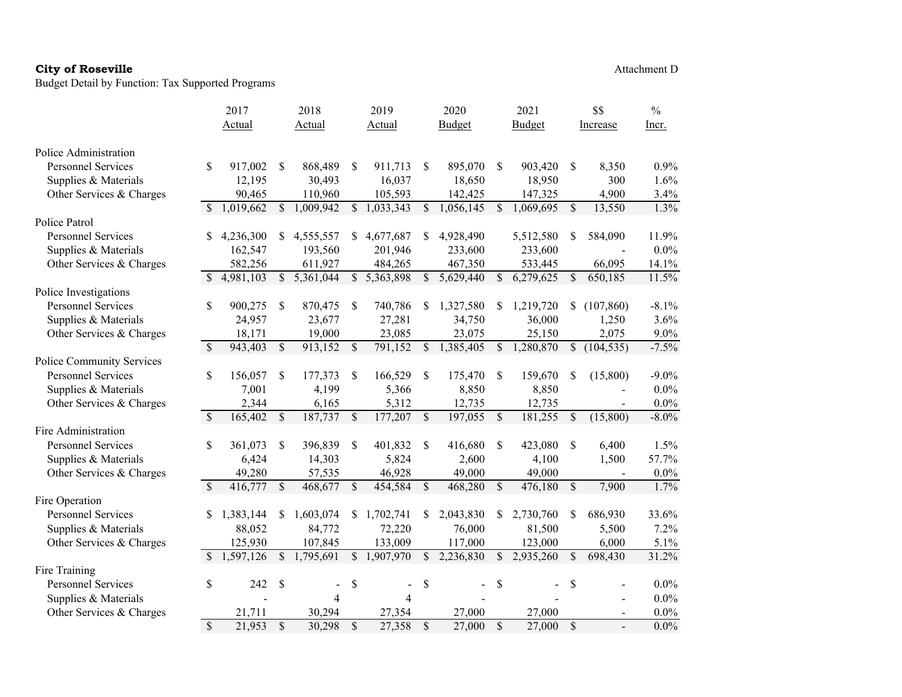|                           |               | 2017      |                           | 2018                   |               | 2019      |              | 2020      |               | 2021      |                           | \$\$                         | $\frac{0}{0}$ |
|---------------------------|---------------|-----------|---------------------------|------------------------|---------------|-----------|--------------|-----------|---------------|-----------|---------------------------|------------------------------|---------------|
|                           |               | Actual    |                           | Actual                 |               | Actual    |              | Budget    |               | Budget    |                           | Increase                     | Incr.         |
| Police Administration     |               |           |                           |                        |               |           |              |           |               |           |                           |                              |               |
| <b>Personnel Services</b> | \$            | 917,002   | <sup>\$</sup>             | 868,489                | \$            | 911,713   | \$           | 895,070   | <sup>\$</sup> | 903,420   | <sup>\$</sup>             | 8,350                        | 0.9%          |
| Supplies & Materials      |               | 12,195    |                           | 30,493                 |               | 16,037    |              | 18,650    |               | 18,950    |                           | 300                          | 1.6%          |
| Other Services & Charges  |               | 90,465    |                           | 110,960                |               | 105,593   |              | 142,425   |               | 147,325   |                           | 4,900                        | 3.4%          |
|                           | \$.           | 1,019,662 |                           | $\overline{1,009,942}$ | $\mathbb{S}$  | 1,033,343 | \$           | 1,056,145 | $\mathbf S$   | 1,069,695 | $\mathbb{S}$              | 13,550                       | 1.3%          |
| Police Patrol             |               |           |                           |                        |               |           |              |           |               |           |                           |                              |               |
| <b>Personnel Services</b> | S             | 4,236,300 | S                         | 4,555,557              | S.            | 4,677,687 | \$           | 4,928,490 |               | 5,512,580 | \$                        | 584,090                      | 11.9%         |
| Supplies & Materials      |               | 162,547   |                           | 193,560                |               | 201,946   |              | 233,600   |               | 233,600   |                           |                              | $0.0\%$       |
| Other Services & Charges  |               | 582,256   |                           | 611,927                |               | 484,265   |              | 467,350   |               | 533,445   |                           | 66,095                       | 14.1%         |
|                           | S             | 4,981,103 | <sup>\$</sup>             | 5,361,044              | $\mathbb{S}$  | 5,363,898 | \$           | 5,629,440 | \$            | 6,279,625 | \$                        | 650,185                      | 11.5%         |
| Police Investigations     |               |           |                           |                        |               |           |              |           |               |           |                           |                              |               |
| <b>Personnel Services</b> | \$            | 900,275   | \$                        | 870,475                | \$            | 740,786   | \$           | 1,327,580 | S             | 1,219,720 | S.                        | (107, 860)                   | $-8.1\%$      |
| Supplies & Materials      |               | 24,957    |                           | 23,677                 |               | 27,281    |              | 34,750    |               | 36,000    |                           | 1,250                        | 3.6%          |
| Other Services & Charges  |               | 18,171    |                           | 19,000                 |               | 23,085    |              | 23,075    |               | 25,150    |                           | 2,075                        | $9.0\%$       |
|                           | $\mathcal{S}$ | 943,403   | $\mathcal{S}$             | 913,152                | \$            | 791,152   | \$           | 1,385,405 | \$            | 1,280,870 | \$                        | (104, 535)                   | $-7.5%$       |
| Police Community Services |               |           |                           |                        |               |           |              |           |               |           |                           |                              |               |
| <b>Personnel Services</b> | \$            | 156,057   | \$                        | 177,373                | \$            | 166,529   | \$           | 175,470   | $\mathcal{S}$ | 159,670   | \$                        | (15,800)                     | $-9.0\%$      |
| Supplies & Materials      |               | 7,001     |                           | 4,199                  |               | 5,366     |              | 8,850     |               | 8,850     |                           | $\overline{\phantom{a}}$     | $0.0\%$       |
| Other Services & Charges  |               | 2,344     |                           | 6,165                  |               | 5,312     |              | 12,735    |               | 12,735    |                           | $\blacksquare$               | $0.0\%$       |
|                           | $\mathcal{S}$ | 165,402   | $\boldsymbol{\mathsf{S}}$ | 187,737                | \$            | 177,207   | \$           | 197,055   | $\sqrt{3}$    | 181,255   | \$                        | (15,800)                     | $-8.0\%$      |
| Fire Administration       |               |           |                           |                        |               |           |              |           |               |           |                           |                              |               |
| <b>Personnel Services</b> | \$            | 361,073   | <sup>\$</sup>             | 396,839                | \$            | 401,832   | \$           | 416,680   | \$            | 423,080   | <sup>\$</sup>             | 6,400                        | 1.5%          |
| Supplies & Materials      |               | 6,424     |                           | 14,303                 |               | 5,824     |              | 2,600     |               | 4,100     |                           | 1,500                        | 57.7%         |
| Other Services & Charges  |               | 49,280    |                           | 57,535                 |               | 46,928    |              | 49,000    |               | 49,000    |                           | $\qquad \qquad \blacksquare$ | $0.0\%$       |
|                           | \$            | 416,777   | $\mathcal{S}$             | 468,677                | \$            | 454,584   | \$           | 468,280   | $\mathcal{S}$ | 476,180   | $\boldsymbol{\mathsf{S}}$ | 7,900                        | 1.7%          |
| Fire Operation            |               |           |                           |                        |               |           |              |           |               |           |                           |                              |               |
| <b>Personnel Services</b> | \$            | 1,383,144 | \$                        | 1,603,074              | \$            | 1,702,741 | \$           | 2,043,830 | \$            | 2,730,760 | \$                        | 686,930                      | 33.6%         |
| Supplies & Materials      |               | 88,052    |                           | 84,772                 |               | 72,220    |              | 76,000    |               | 81,500    |                           | 5,500                        | 7.2%          |
| Other Services & Charges  |               | 125,930   |                           | 107,845                |               | 133,009   |              | 117,000   |               | 123,000   |                           | 6,000                        | 5.1%          |
|                           | \$            | 1,597,126 | $\mathbb{S}$              | 1,795,691              | $\mathbb{S}$  | 1,907,970 | \$           | 2,236,830 | \$            | 2,935,260 | \$                        | 698,430                      | 31.2%         |
| Fire Training             |               |           |                           |                        |               |           |              |           |               |           |                           |                              |               |
| <b>Personnel Services</b> | \$            | 242       | \$                        |                        | \$            |           | \$           |           | \$            |           | \$                        |                              | 0.0%          |
| Supplies & Materials      |               |           |                           | 4                      |               | 4         |              |           |               |           |                           |                              | $0.0\%$       |
| Other Services & Charges  |               | 21,711    |                           | 30,294                 |               | 27,354    |              | 27,000    |               | 27,000    |                           | $\overline{\phantom{a}}$     | $0.0\%$       |
|                           | $\mathbb{S}$  | 21,953    | $\mathcal{S}$             | 30,298                 | $\mathcal{S}$ | 27,358    | $\mathbb{S}$ | 27,000    | $\mathbf S$   | 27,000    | $\mathbb{S}$              |                              | $0.0\%$       |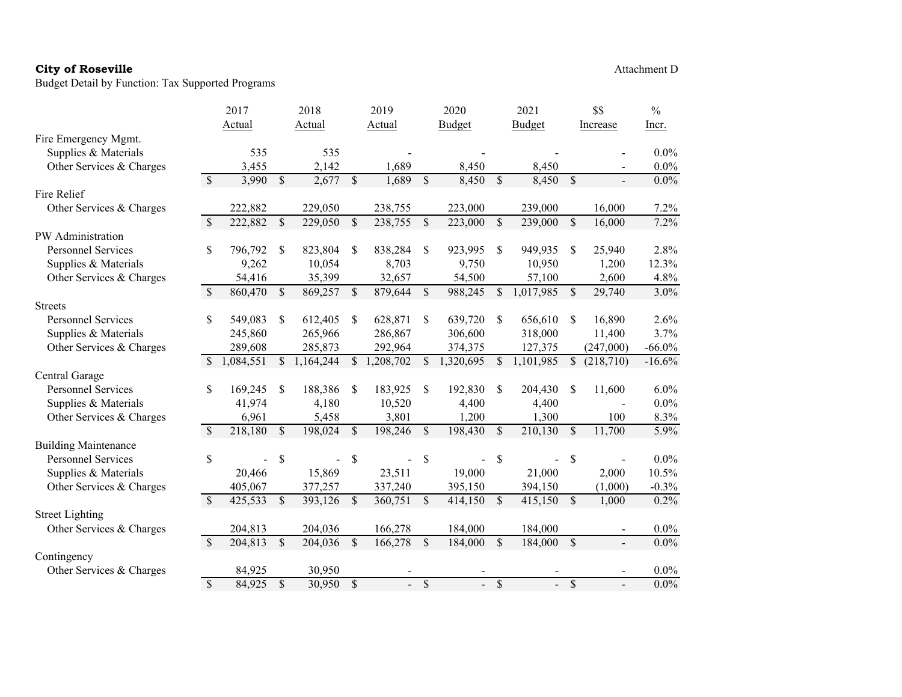|                             |                          | 2017      |               | 2018      |                          | 2019                     |               | 2020                      |                          | 2021                     |                          | \$\$           | $\frac{0}{0}$ |
|-----------------------------|--------------------------|-----------|---------------|-----------|--------------------------|--------------------------|---------------|---------------------------|--------------------------|--------------------------|--------------------------|----------------|---------------|
|                             |                          | Actual    |               | Actual    |                          | Actual                   |               | Budget                    |                          | Budget                   |                          | Increase       | Incr.         |
| Fire Emergency Mgmt.        |                          |           |               |           |                          |                          |               |                           |                          |                          |                          |                |               |
| Supplies & Materials        |                          | 535       |               | 535       |                          |                          |               |                           |                          |                          |                          |                | $0.0\%$       |
| Other Services & Charges    |                          | 3,455     |               | 2,142     |                          | 1,689                    |               | 8,450                     |                          | 8,450                    |                          |                | $0.0\%$       |
|                             | $\overline{\mathcal{S}}$ | 3,990     | $\mathcal{S}$ | 2,677     | $\mathbf S$              | 1,689                    | $\mathbf S$   | 8,450                     | $\overline{\mathcal{S}}$ | 8,450                    | $\mathcal{S}$            | $\overline{a}$ | $0.0\%$       |
| Fire Relief                 |                          |           |               |           |                          |                          |               |                           |                          |                          |                          |                |               |
| Other Services & Charges    |                          | 222,882   |               | 229,050   |                          | 238,755                  |               | 223,000                   |                          | 239,000                  |                          | 16,000         | 7.2%          |
|                             | \$                       | 222,882   | \$            | 229,050   | \$                       | 238,755                  | \$            | 223,000                   | \$                       | 239,000                  | \$                       | 16,000         | 7.2%          |
| PW Administration           |                          |           |               |           |                          |                          |               |                           |                          |                          |                          |                |               |
| <b>Personnel Services</b>   | \$                       | 796,792   | \$            | 823,804   | \$                       | 838,284                  | \$            | 923,995                   | \$                       | 949,935                  | \$                       | 25,940         | 2.8%          |
| Supplies & Materials        |                          | 9,262     |               | 10,054    |                          | 8,703                    |               | 9,750                     |                          | 10,950                   |                          | 1,200          | 12.3%         |
| Other Services & Charges    |                          | 54,416    |               | 35,399    |                          | 32,657                   |               | 54,500                    |                          | 57,100                   |                          | 2,600          | 4.8%          |
|                             | $\mathcal{S}$            | 860,470   | \$            | 869,257   | \$                       | 879,644                  | $\mathcal{S}$ | 988,245                   | $\mathbb{S}$             | 1,017,985                | $\mathbb{S}$             | 29,740         | 3.0%          |
| <b>Streets</b>              |                          |           |               |           |                          |                          |               |                           |                          |                          |                          |                |               |
| <b>Personnel Services</b>   | \$                       | 549,083   | \$            | 612,405   | \$                       | 628,871                  | \$            | 639,720                   | \$                       | 656,610                  | S                        | 16,890         | 2.6%          |
| Supplies & Materials        |                          | 245,860   |               | 265,966   |                          | 286,867                  |               | 306,600                   |                          | 318,000                  |                          | 11,400         | 3.7%          |
| Other Services & Charges    |                          | 289,608   |               | 285,873   |                          | 292,964                  |               | 374,375                   |                          | 127,375                  |                          | (247,000)      | $-66.0\%$     |
|                             | <sup>\$</sup>            | 1,084,551 | \$            | 1,164,244 | $\mathcal{S}$            | 1,208,702                | \$            | 1,320,695                 | <sup>\$</sup>            | 1,101,985                | \$                       | (218,710)      | $-16.6%$      |
| Central Garage              |                          |           |               |           |                          |                          |               |                           |                          |                          |                          |                |               |
| <b>Personnel Services</b>   | \$                       | 169,245   | \$            | 188,386   | \$                       | 183,925                  | \$            | 192,830                   | <sup>\$</sup>            | 204,430                  | S                        | 11,600         | 6.0%          |
| Supplies & Materials        |                          | 41,974    |               | 4,180     |                          | 10,520                   |               | 4,400                     |                          | 4,400                    |                          |                | $0.0\%$       |
| Other Services & Charges    |                          | 6,961     |               | 5,458     |                          | 3,801                    |               | 1,200                     |                          | 1,300                    |                          | 100            | 8.3%          |
|                             | $\mathcal{S}$            | 218,180   | \$            | 198,024   | \$                       | 198,246                  | \$            | 198,430                   | $\mathbb{S}$             | 210,130                  | \$                       | 11,700         | 5.9%          |
| <b>Building Maintenance</b> |                          |           |               |           |                          |                          |               |                           |                          |                          |                          |                |               |
| <b>Personnel Services</b>   | \$                       |           | \$            |           | \$                       |                          | \$            |                           | \$                       |                          | \$                       |                | $0.0\%$       |
| Supplies & Materials        |                          | 20,466    |               | 15,869    |                          | 23,511                   |               | 19,000                    |                          | 21,000                   |                          | 2,000          | 10.5%         |
| Other Services & Charges    |                          | 405,067   |               | 377,257   |                          | 337,240                  |               | 395,150                   |                          | 394,150                  |                          | (1,000)        | $-0.3%$       |
|                             | $\mathcal{S}$            | 425,533   | \$            | 393,126   | \$                       | 360,751                  | \$            | 414,150                   | $\overline{\mathcal{S}}$ | 415,150                  | \$                       | 1,000          | 0.2%          |
| <b>Street Lighting</b>      |                          |           |               |           |                          |                          |               |                           |                          |                          |                          |                |               |
| Other Services & Charges    |                          | 204,813   |               | 204,036   |                          | 166,278                  |               | 184,000                   |                          | 184,000                  |                          |                | $0.0\%$       |
|                             | $\mathcal{S}$            | 204,813   | \$            | 204,036   | \$                       | 166,278                  | \$            | 184,000                   | $\mathbb{S}$             | 184,000                  | \$                       |                | $0.0\%$       |
| Contingency                 |                          |           |               |           |                          |                          |               |                           |                          |                          |                          |                |               |
| Other Services & Charges    |                          | 84,925    |               | 30,950    |                          |                          |               |                           |                          |                          |                          |                | $0.0\%$       |
|                             | $\mathcal{S}$            | 84,925    | \$            | 30,950    | $\overline{\mathcal{S}}$ | $\overline{\phantom{a}}$ | $\mathbb{S}$  | $\mathbb{Z}^{\mathbb{Z}}$ | $\overline{\mathcal{S}}$ | $\overline{\phantom{a}}$ | $\overline{\mathcal{S}}$ |                | $0.0\%$       |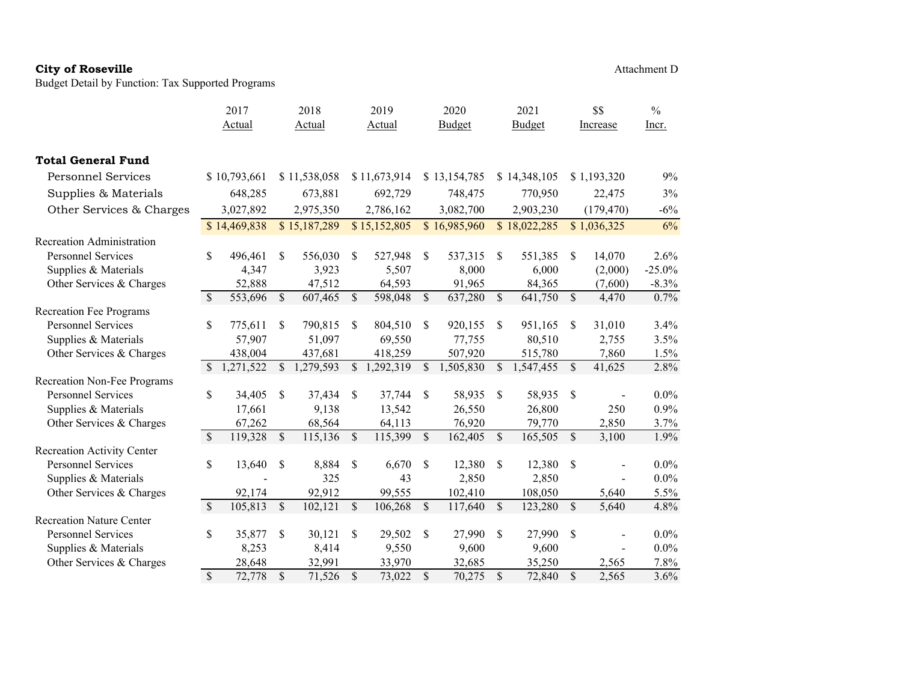Budget Detail by Function: Tax Supported Programs

|                                   |                          | 2017         |               | 2018         |               | 2019         |               | 2020         |               | 2021         |               | \$\$                     | $\frac{0}{0}$ |
|-----------------------------------|--------------------------|--------------|---------------|--------------|---------------|--------------|---------------|--------------|---------------|--------------|---------------|--------------------------|---------------|
|                                   |                          | Actual       |               | Actual       |               | Actual       |               | Budget       |               | Budget       |               | Increase                 | Incr.         |
| <b>Total General Fund</b>         |                          |              |               |              |               |              |               |              |               |              |               |                          |               |
| <b>Personnel Services</b>         |                          | \$10,793,661 |               | \$11,538,058 |               | \$11,673,914 |               | \$13,154,785 |               | \$14,348,105 |               | \$1,193,320              | 9%            |
| Supplies & Materials              |                          | 648,285      |               | 673,881      |               | 692,729      |               | 748,475      |               | 770,950      |               | 22,475                   | 3%            |
| Other Services & Charges          |                          | 3,027,892    |               | 2,975,350    |               | 2,786,162    |               | 3,082,700    |               | 2,903,230    |               | (179, 470)               | $-6%$         |
|                                   |                          | \$14,469,838 |               | \$15,187,289 |               | \$15,152,805 |               | \$16,985,960 |               | \$18,022,285 |               | \$1,036,325              | 6%            |
| Recreation Administration         |                          |              |               |              |               |              |               |              |               |              |               |                          |               |
| <b>Personnel Services</b>         | \$                       | 496,461      | \$            | 556,030      | <sup>\$</sup> | 527,948      | <sup>\$</sup> | 537,315      | <sup>\$</sup> | 551,385      | S             | 14,070                   | 2.6%          |
| Supplies & Materials              |                          | 4,347        |               | 3,923        |               | 5,507        |               | 8,000        |               | 6,000        |               | (2,000)                  | $-25.0%$      |
| Other Services & Charges          |                          | 52,888       |               | 47,512       |               | 64,593       |               | 91,965       |               | 84,365       |               | (7,600)                  | $-8.3\%$      |
|                                   | \$                       | 553,696      | \$            | 607,465      | \$            | 598,048      | $\mathcal{S}$ | 637,280      | $\mathcal{S}$ | 641,750      | \$            | 4,470                    | 0.7%          |
| <b>Recreation Fee Programs</b>    |                          |              |               |              |               |              |               |              |               |              |               |                          |               |
| <b>Personnel Services</b>         | \$                       | 775,611      | \$            | 790,815      | <sup>\$</sup> | 804,510      | <sup>\$</sup> | 920,155      | <sup>\$</sup> | 951,165      | \$            | 31,010                   | 3.4%          |
| Supplies & Materials              |                          | 57,907       |               | 51,097       |               | 69,550       |               | 77,755       |               | 80,510       |               | 2,755                    | 3.5%          |
| Other Services & Charges          |                          | 438,004      |               | 437,681      |               | 418,259      |               | 507,920      |               | 515,780      |               | 7,860                    | 1.5%          |
|                                   | $\mathbb{S}$             | 1,271,522    | \$            | 1,279,593    | \$            | 1,292,319    | \$            | 1,505,830    | $\mathbb{S}$  | 1,547,455    | \$            | 41,625                   | 2.8%          |
| Recreation Non-Fee Programs       |                          |              |               |              |               |              |               |              |               |              |               |                          |               |
| <b>Personnel Services</b>         | \$                       | 34,405       | <sup>\$</sup> | 37,434       | S             | 37,744       | \$            | 58,935       | <sup>\$</sup> | 58,935       | <sup>\$</sup> |                          | $0.0\%$       |
| Supplies & Materials              |                          | 17,661       |               | 9,138        |               | 13,542       |               | 26,550       |               | 26,800       |               | 250                      | 0.9%          |
| Other Services & Charges          |                          | 67,262       |               | 68,564       |               | 64,113       |               | 76,920       |               | 79,770       |               | 2,850                    | 3.7%          |
|                                   | <sup>\$</sup>            | 119,328      | <sup>\$</sup> | 115,136      | $\mathbb{S}$  | 115,399      | $\mathbb{S}$  | 162,405      | $\mathbb{S}$  | 165,505      | <sup>\$</sup> | 3,100                    | 1.9%          |
| <b>Recreation Activity Center</b> |                          |              |               |              |               |              |               |              |               |              |               |                          |               |
| <b>Personnel Services</b>         | \$                       | 13,640       | <sup>\$</sup> | 8,884        | \$            | 6,670        | <sup>\$</sup> | 12,380       | \$            | 12,380       | S             |                          | $0.0\%$       |
| Supplies & Materials              |                          |              |               | 325          |               | 43           |               | 2,850        |               | 2,850        |               |                          | $0.0\%$       |
| Other Services & Charges          |                          | 92,174       |               | 92,912       |               | 99,555       |               | 102,410      |               | 108,050      |               | 5,640                    | 5.5%          |
|                                   | $\mathbb{S}$             | 105,813      | $\mathcal{S}$ | 102,121      | $\mathcal{S}$ | 106,268      | \$            | 117,640      | $\mathbb{S}$  | 123,280      | \$            | 5,640                    | 4.8%          |
| <b>Recreation Nature Center</b>   |                          |              |               |              |               |              |               |              |               |              |               |                          |               |
| <b>Personnel Services</b>         | \$                       | 35,877       | \$            | 30,121       | \$            | 29,502       | \$            | 27,990       | <sup>\$</sup> | 27,990       | \$            |                          | $0.0\%$       |
| Supplies & Materials              |                          | 8,253        |               | 8,414        |               | 9,550        |               | 9,600        |               | 9,600        |               | $\overline{\phantom{0}}$ | $0.0\%$       |
| Other Services & Charges          |                          | 28,648       |               | 32,991       |               | 33,970       |               | 32,685       |               | 35,250       |               | 2,565                    | 7.8%          |
|                                   | $\overline{\mathcal{S}}$ | 72,778       | $\mathbb{S}$  | 71,526       | $\mathcal{S}$ | 73,022       | $\mathbb{S}$  | 70,275       | $\mathcal{S}$ | 72,840       | $\mathbb{S}$  | 2,565                    | 3.6%          |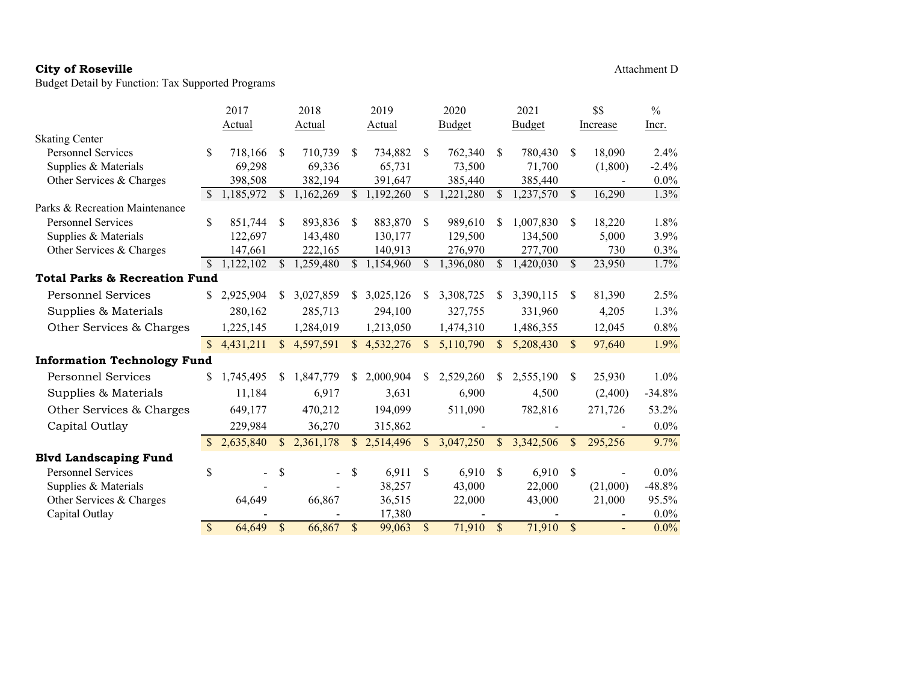|                                          |                    | 2017        |               | 2018          |               | 2019          |                    | 2020          |               | 2021      |               | \$\$     | $\frac{0}{0}$ |
|------------------------------------------|--------------------|-------------|---------------|---------------|---------------|---------------|--------------------|---------------|---------------|-----------|---------------|----------|---------------|
|                                          |                    | Actual      |               | <b>Actual</b> |               | <b>Actual</b> |                    | <b>Budget</b> |               | Budget    |               | Increase | Incr.         |
| <b>Skating Center</b>                    |                    |             |               |               |               |               |                    |               |               |           |               |          |               |
| <b>Personnel Services</b>                | \$                 | 718,166     | \$            | 710,739       | S             | 734,882       | <sup>\$</sup>      | 762,340       | \$            | 780,430   | \$            | 18,090   | 2.4%          |
| Supplies & Materials                     |                    | 69,298      |               | 69,336        |               | 65,731        |                    | 73,500        |               | 71,700    |               | (1,800)  | $-2.4%$       |
| Other Services & Charges                 |                    | 398,508     |               | 382,194       |               | 391,647       |                    | 385,440       |               | 385,440   |               |          | $0.0\%$       |
|                                          | <sup>\$</sup>      | 1,185,972   | \$.           | 1,162,269     | \$.           | 1,192,260     | \$.                | 1,221,280     | \$            | 1,237,570 | \$            | 16,290   | 1.3%          |
| Parks & Recreation Maintenance           |                    |             |               |               |               |               |                    |               |               |           |               |          |               |
| Personnel Services                       | \$                 | 851,744     | <sup>\$</sup> | 893,836       | <sup>S</sup>  | 883,870       | <sup>\$</sup>      | 989,610       | \$            | 1,007,830 | \$.           | 18,220   | 1.8%          |
| Supplies & Materials                     |                    | 122,697     |               | 143,480       |               | 130,177       |                    | 129,500       |               | 134,500   |               | 5,000    | 3.9%          |
| Other Services & Charges                 |                    | 147,661     |               | 222,165       |               | 140,913       |                    | 276,970       |               | 277,700   |               | 730      | 0.3%          |
|                                          | <sup>\$</sup>      | 1,122,102   | \$.           | 1,259,480     |               | \$1,154,960   | S.                 | 1,396,080     | \$.           | 1,420,030 | $\mathbb{S}$  | 23,950   | 1.7%          |
| <b>Total Parks &amp; Recreation Fund</b> |                    |             |               |               |               |               |                    |               |               |           |               |          |               |
| <b>Personnel Services</b>                |                    | \$2,925,904 | S.            | 3,027,859     |               | \$3,025,126   | \$                 | 3,308,725     | S             | 3,390,115 | S             | 81,390   | 2.5%          |
| Supplies & Materials                     |                    | 280,162     |               | 285,713       |               | 294,100       |                    | 327,755       |               | 331,960   |               | 4,205    | 1.3%          |
| Other Services & Charges                 |                    | 1,225,145   |               | 1,284,019     |               | 1,213,050     |                    | 1,474,310     |               | 1,486,355 |               | 12,045   | 0.8%          |
|                                          | $\mathbb{S}$       | 4,431,211   |               | \$4,597,591   |               | \$4,532,276   | $\mathbb{S}$       | 5,110,790     | <sup>\$</sup> | 5,208,430 | $\mathcal{S}$ | 97,640   | 1.9%          |
| <b>Information Technology Fund</b>       |                    |             |               |               |               |               |                    |               |               |           |               |          |               |
| <b>Personnel Services</b>                | \$                 | 1,745,495   | S.            | 1,847,779     | S.            | 2,000,904     | \$.                | 2,529,260     | \$.           | 2,555,190 | S             | 25,930   | 1.0%          |
| Supplies & Materials                     |                    | 11,184      |               | 6,917         |               | 3,631         |                    | 6,900         |               | 4,500     |               | (2,400)  | $-34.8%$      |
| Other Services & Charges                 |                    | 649,177     |               | 470,212       |               | 194,099       |                    | 511,090       |               | 782,816   |               | 271,726  | 53.2%         |
| Capital Outlay                           |                    | 229,984     |               | 36,270        |               | 315,862       |                    |               |               |           |               |          | $0.0\%$       |
|                                          |                    | 2,635,840   | \$.           | 2,361,178     | $\mathcal{S}$ | 2,514,496     | $\mathbb{S}$       | 3,047,250     | $\mathbb{S}$  | 3,342,506 | <sup>\$</sup> | 295,256  | 9.7%          |
| <b>Blvd Landscaping Fund</b>             |                    |             |               |               |               |               |                    |               |               |           |               |          |               |
| <b>Personnel Services</b>                | \$                 |             | <sup>\$</sup> |               | \$.           | 6,911         | <sup>\$</sup>      | 6,910         | \$            | 6,910     | <sup>\$</sup> |          | $0.0\%$       |
| Supplies & Materials                     |                    |             |               |               |               | 38,257        |                    | 43,000        |               | 22,000    |               | (21,000) | $-48.8%$      |
| Other Services & Charges                 |                    | 64,649      |               | 66,867        |               | 36,515        |                    | 22,000        |               | 43,000    |               | 21,000   | 95.5%         |
| Capital Outlay                           |                    |             |               |               |               | 17,380        |                    |               |               |           |               |          | $0.0\%$       |
|                                          | $\mathbf{\hat{S}}$ | 64,649      | $\mathbf S$   | 66,867        | $\sqrt{\ }$   | 99,063        | $\mathbf{\hat{S}}$ | 71,910        | $\mathbb{S}$  | 71,910    | $\mathbb{S}$  |          | $0.0\%$       |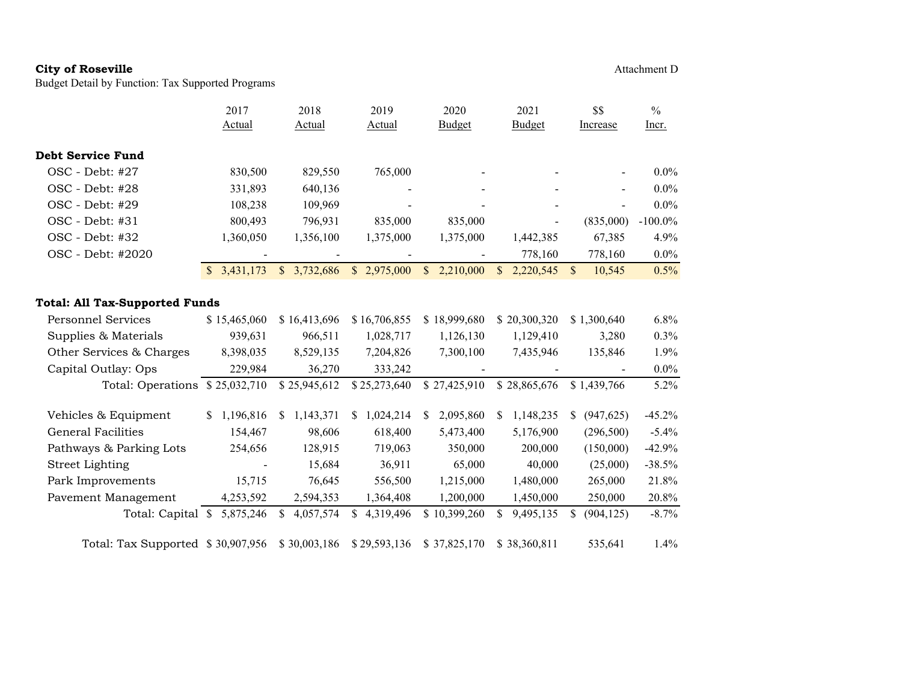Budget Detail by Function: Tax Supported Programs

Actual

| 2017   | 2018   | 2019   | 2020          | 2021          | SS.      | $\%$         |
|--------|--------|--------|---------------|---------------|----------|--------------|
| Actual | Actual | Actual | <b>Budget</b> | <b>Budget</b> | Increase | <u>Incr.</u> |
|        |        |        |               |               |          |              |

| Debt Service Fund |           |           |                          |    |           |              |                          |   |                          |            |
|-------------------|-----------|-----------|--------------------------|----|-----------|--------------|--------------------------|---|--------------------------|------------|
| $OSC - Debt: #27$ | 830,500   | 829.550   | 765,000                  |    |           |              | $\overline{\phantom{a}}$ |   | $\overline{\phantom{0}}$ | $0.0\%$    |
| $OSC - Debt: #28$ | 331,893   | 640,136   | $\overline{\phantom{a}}$ |    | -         |              | $\overline{\phantom{a}}$ |   | $\blacksquare$           | $0.0\%$    |
| $OSC - Debt: #29$ | 108.238   | 109.969   | $\overline{\phantom{a}}$ |    | -         |              | $\overline{\phantom{a}}$ |   | $\blacksquare$           | $0.0\%$    |
| $OSC - Debt: #31$ | 800,493   | 796.931   | 835,000                  |    | 835,000   |              | $\overline{\phantom{a}}$ |   | (835,000)                | $-100.0\%$ |
| OSC - Debt: #32   | 1.360.050 | 1,356,100 | 1,375,000                |    | 1,375,000 |              | 1.442.385                |   | 67,385                   | 4.9%       |
| OSC - Debt: #2020 |           |           | $\overline{\phantom{0}}$ |    | -         |              | 778,160                  |   | 778.160                  | $0.0\%$    |
|                   | 3.431.173 | 3.732.686 | \$2,975,000              | S. | 2,210,000 | $\mathbf{s}$ | 2.220.545                | S | 10,545                   | $0.5\%$    |

### **Total: All Tax-Supported Funds**

| <b>Personnel Services</b> | \$15,465,060               | \$16,413,696   | \$16,706,855   | \$18,999,680    | \$20,300,320    | \$1,300,640     | $6.8\%$   |
|---------------------------|----------------------------|----------------|----------------|-----------------|-----------------|-----------------|-----------|
| Supplies & Materials      | 939,631                    | 966,511        | 1,028,717      | 1,126,130       | 1,129,410       | 3,280           | $0.3\%$   |
| Other Services & Charges  | 8,398,035                  | 8,529,135      | 7,204,826      | 7,300,100       | 7,435,946       | 135,846         | $1.9\%$   |
| Capital Outlay: Ops       | 229,984                    | 36,270         | 333,242        |                 |                 |                 | $0.0\%$   |
| Total: Operations         | \$25,032,710               | \$25,945,612   | \$25,273,640   | \$27,425,910    | \$28,865,676    | \$1,439,766     | $5.2\%$   |
|                           |                            |                |                |                 |                 |                 |           |
| Vehicles & Equipment      | 1,196,816<br>S.            | 1,143,371<br>S | ,024,214<br>\$ | 2,095,860<br>S. | 1,148,235<br>S  | (947, 625)<br>S | $-45.2\%$ |
| <b>General Facilities</b> | 154,467                    | 98,606         | 618,400        | 5,473,400       | 5,176,900       | (296,500)       | $-5.4\%$  |
| Pathways & Parking Lots   | 254,656                    | 128,915        | 719,063        | 350,000         | 200,000         | (150,000)       | $-42.9%$  |
| <b>Street Lighting</b>    |                            | 15,684         | 36,911         | 65,000          | 40,000          | (25,000)        | $-38.5%$  |
| Park Improvements         | 15,715                     | 76,645         | 556,500        | 1,215,000       | 1,480,000       | 265,000         | 21.8%     |
| Pavement Management       | 4,253,592                  | 2,594,353      | 1,364,408      | 1,200,000       | 1,450,000       | 250,000         | 20.8%     |
| Total: Capital            | 5,875,246<br><sup>\$</sup> | 4,057,574<br>S | 4,319,496<br>S | \$10,399,260    | 9,495,135<br>\$ | (904, 125)<br>S | $-8.7\%$  |
| Total: Tax Supported      | \$30,907,956               | \$30,003,186   | \$29,593,136   | \$37,825,170    | \$38,360,811    | 535,641         | $1.4\%$   |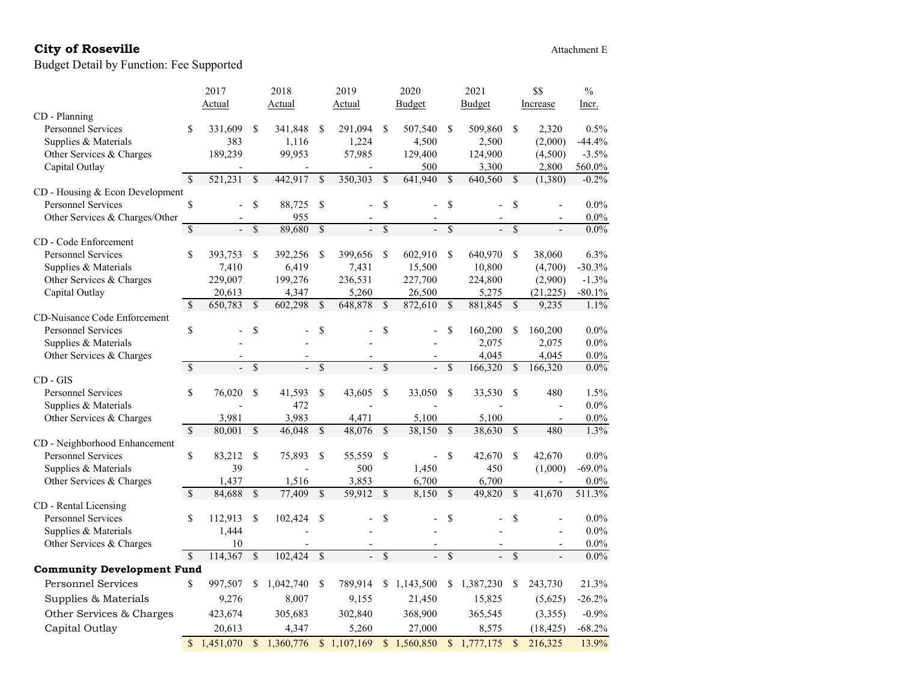# City of Roseville **Attachment E** Attachment E

|                                     |                          | 2017      |                          | 2018        |               | 2019                     |                          | 2020           |                          | 2021                   |                          | \$\$                     | $\frac{0}{0}$ |
|-------------------------------------|--------------------------|-----------|--------------------------|-------------|---------------|--------------------------|--------------------------|----------------|--------------------------|------------------------|--------------------------|--------------------------|---------------|
|                                     |                          | Actual    |                          | Actual      |               | Actual                   |                          | Budget         |                          | Budget                 |                          | Increase                 | Incr.         |
| CD - Planning                       |                          |           |                          |             |               |                          |                          |                |                          |                        |                          |                          |               |
| <b>Personnel Services</b>           | \$                       | 331,609   | <sup>\$</sup>            | 341,848     | <sup>\$</sup> | 291,094                  | <sup>\$</sup>            | 507,540        | <sup>\$</sup>            | 509,860                | \$                       | 2,320                    | 0.5%          |
| Supplies & Materials                |                          | 383       |                          | 1,116       |               | 1,224                    |                          | 4,500          |                          | 2,500                  |                          | (2,000)                  | $-44.4%$      |
| Other Services & Charges            |                          | 189,239   |                          | 99,953      |               | 57,985                   |                          | 129,400        |                          | 124,900                |                          | (4,500)                  | $-3.5%$       |
| Capital Outlay                      |                          |           |                          |             |               | Ĭ.                       |                          | 500            |                          | 3,300                  |                          | 2,800                    | 560.0%        |
|                                     | $\mathcal{S}$            | 521,231   | \$                       | 442,917     | \$            | 350,303                  | \$                       | 641,940        | \$                       | 640,560                | \$                       | (1,380)                  | $-0.2%$       |
| CD - Housing & Econ Development     |                          |           |                          |             |               |                          |                          |                |                          |                        |                          |                          |               |
| <b>Personnel Services</b>           | \$                       |           | \$                       | 88,725      | \$            |                          | \$                       |                | \$                       |                        | \$                       |                          | $0.0\%$       |
| Other Services & Charges/Other      |                          |           |                          | 955         |               |                          |                          |                |                          |                        |                          |                          | $0.0\%$       |
|                                     | \$                       |           | \$                       | 89,680      | $\mathcal{S}$ |                          | $\overline{\mathcal{S}}$ |                | \$                       |                        | $\overline{\mathcal{S}}$ |                          | $0.0\%$       |
| CD - Code Enforcement               |                          |           |                          |             |               |                          |                          |                |                          |                        |                          |                          |               |
| <b>Personnel Services</b>           | \$                       | 393,753   | \$                       | 392,256     | <sup>\$</sup> | 399,656                  | \$                       | 602,910        | $\mathbf S$              | 640,970                | <sup>\$</sup>            | 38,060                   | 6.3%          |
| Supplies & Materials                |                          | 7,410     |                          | 6,419       |               | 7,431                    |                          | 15,500         |                          | 10,800                 |                          | (4,700)                  | $-30.3%$      |
| Other Services & Charges            |                          | 229,007   |                          | 199,276     |               | 236,531                  |                          | 227,700        |                          | 224,800                |                          | (2,900)                  | $-1.3%$       |
| Capital Outlay                      |                          | 20,613    |                          | 4,347       |               | 5,260                    |                          | 26,500         |                          | 5,275                  |                          | (21,225)                 | $-80.1\%$     |
|                                     | $\overline{\mathcal{S}}$ | 650,783   | \$                       | 602,298     | $\mathcal{S}$ | 648,878                  | \$                       | 872,610        | $\overline{\mathcal{S}}$ | 881,845                | $\mathbf S$              | 9,235                    | 1.1%          |
| <b>CD-Nuisance Code Enforcement</b> |                          |           |                          |             |               |                          |                          |                |                          |                        |                          |                          |               |
| <b>Personnel Services</b>           | \$                       |           | \$                       |             | \$            |                          | \$                       |                | \$                       | 160,200                | \$                       | 160,200                  | $0.0\%$       |
| Supplies & Materials                |                          |           |                          |             |               |                          |                          |                |                          | 2,075                  |                          | 2,075                    | $0.0\%$       |
| Other Services & Charges            |                          |           |                          |             |               |                          |                          |                |                          | 4.045                  |                          | 4,045                    | $0.0\%$       |
|                                     | $\mathcal{S}$            |           | \$                       |             | \$            |                          | \$                       |                | \$                       | 166,320                | \$                       | 166,320                  | $0.0\%$       |
| $CD - GIS$                          |                          |           |                          |             |               |                          |                          |                |                          |                        |                          |                          |               |
| <b>Personnel Services</b>           | \$                       | 76,020    | \$                       | 41,593      | \$            | 43,605                   | \$                       | 33,050         | \$                       | 33,530                 | \$                       | 480                      | 1.5%          |
| Supplies & Materials                |                          |           |                          | 472         |               |                          |                          |                |                          |                        |                          | $\frac{1}{2}$            | $0.0\%$       |
| Other Services & Charges            |                          | 3,981     |                          | 3,983       |               | 4,471                    |                          | 5,100          |                          | 5,100                  |                          | $\overline{a}$           | $0.0\%$       |
|                                     | $\overline{\mathbf{S}}$  | 80,001    | <sup>\$</sup>            | 46,048      | \$            | 48,076                   | $\mathcal{S}$            | 38,150         | $\overline{\mathcal{S}}$ | 38,630                 | <sup>\$</sup>            | 480                      | 1.3%          |
| CD - Neighborhood Enhancement       |                          |           |                          |             |               |                          |                          |                |                          |                        |                          |                          |               |
| Personnel Services                  | \$                       | 83,212    | <sup>\$</sup>            | 75,893      | <sup>\$</sup> | 55,559                   | \$                       | $\overline{a}$ | \$                       | 42,670                 | \$                       | 42,670                   | $0.0\%$       |
| Supplies & Materials                |                          | 39        |                          |             |               | 500                      |                          | 1,450          |                          | 450                    |                          | (1,000)                  | $-69.0\%$     |
| Other Services & Charges            |                          | 1,437     |                          | 1,516       |               | 3,853                    |                          | 6,700          |                          | 6,700                  |                          | $\overline{\phantom{a}}$ | $0.0\%$       |
|                                     | $\overline{\mathcal{S}}$ | 84,688    | $\overline{\mathcal{S}}$ | 77,409      | \$            | 59,912                   | $\overline{\mathcal{S}}$ | 8,150          | $\overline{\mathcal{S}}$ | 49,820                 | $\mathcal{S}$            | 41,670                   | 511.3%        |
| CD - Rental Licensing               |                          |           |                          |             |               |                          |                          |                |                          |                        |                          |                          |               |
| <b>Personnel Services</b>           | \$                       | 112,913   | <sup>\$</sup>            | 102,424     | <sup>\$</sup> |                          | \$                       |                | \$                       |                        | \$                       |                          | $0.0\%$       |
| Supplies & Materials                |                          | 1,444     |                          |             |               |                          |                          |                |                          |                        |                          |                          | $0.0\%$       |
| Other Services & Charges            |                          | 10        |                          |             |               |                          |                          |                |                          |                        |                          |                          | $0.0\%$       |
|                                     | $\mathcal{S}$            | 114,367   | $\overline{\mathcal{S}}$ | 102,424     | \$            | $\overline{\phantom{a}}$ | $\overline{\mathcal{S}}$ |                | $\overline{\mathcal{S}}$ | $\overline{a}$         | $\overline{\mathcal{S}}$ |                          | $0.0\%$       |
| <b>Community Development Fund</b>   |                          |           |                          |             |               |                          |                          |                |                          |                        |                          |                          |               |
| <b>Personnel Services</b>           | \$                       | 997,507   | \$                       | 1,042,740   | S             | 789,914                  | \$                       | 1,143,500      | \$                       | 1,387,230              | \$                       | 243,730                  | 21.3%         |
| Supplies & Materials                |                          | 9,276     |                          | 8,007       |               | 9,155                    |                          | 21,450         |                          | 15,825                 |                          | (5,625)                  | $-26.2%$      |
| Other Services & Charges            |                          | 423,674   |                          | 305,683     |               | 302,840                  |                          | 368,900        |                          | 365,545                |                          | (3,355)                  | $-0.9%$       |
|                                     |                          |           |                          |             |               |                          |                          |                |                          |                        |                          |                          |               |
| Capital Outlay                      |                          | 20,613    |                          | 4,347       |               | 5,260                    |                          | 27,000         |                          | 8,575                  |                          | (18, 425)                | $-68.2%$      |
|                                     | $\mathcal{S}$            | 1,451,070 |                          | \$1,360,776 |               | \$1,107,169              |                          | \$1,560,850    | $\mathbb{S}$             | $\overline{1,777,175}$ | $\mathcal{S}$            | 216,325                  | 13.9%         |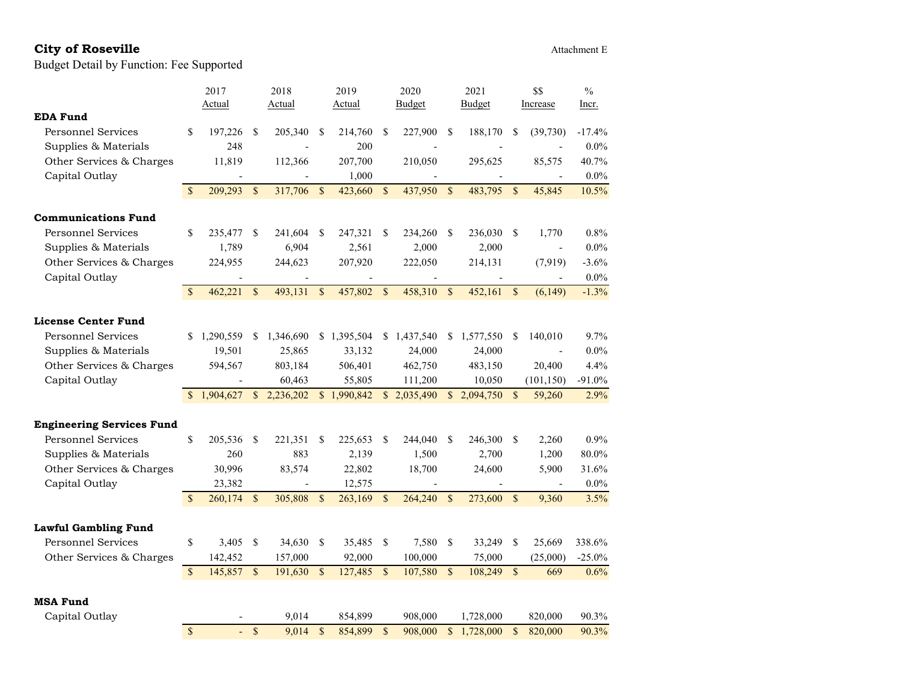|                                  |               | 2017      |                           | 2018           |               | 2019        |               | 2020                      |               | 2021      |               | \$\$            | $\frac{0}{0}$ |
|----------------------------------|---------------|-----------|---------------------------|----------------|---------------|-------------|---------------|---------------------------|---------------|-----------|---------------|-----------------|---------------|
|                                  |               | Actual    |                           | Actual         |               | Actual      |               | Budget                    |               | Budget    |               | <b>Increase</b> | Incr.         |
| <b>EDA Fund</b>                  |               |           |                           |                |               |             |               |                           |               |           |               |                 |               |
| <b>Personnel Services</b>        | \$            | 197,226   | \$                        | 205,340        | \$            | 214,760     | \$            | 227,900                   | \$            | 188,170   | \$            | (39,730)        | $-17.4%$      |
| Supplies & Materials             |               | 248       |                           |                |               | 200         |               |                           |               |           |               |                 | $0.0\%$       |
| Other Services & Charges         |               | 11,819    |                           | 112,366        |               | 207,700     |               | 210,050                   |               | 295,625   |               | 85,575          | 40.7%         |
| Capital Outlay                   |               |           |                           |                |               | 1,000       |               |                           |               |           |               |                 | $0.0\%$       |
|                                  | $\mathcal{S}$ | 209,293   | $\boldsymbol{\mathsf{S}}$ | 317,706        | <sup>\$</sup> | 423,660     | $\mathbb{S}$  | 437,950                   | $\mathbf{s}$  | 483,795   | <sup>\$</sup> | 45,845          | 10.5%         |
| <b>Communications Fund</b>       |               |           |                           |                |               |             |               |                           |               |           |               |                 |               |
| <b>Personnel Services</b>        | \$            | 235,477   | \$                        | 241,604        | S             | 247,321     | <sup>\$</sup> | 234,260                   | <sup>\$</sup> | 236,030   | <sup>\$</sup> | 1,770           | $0.8\%$       |
| Supplies & Materials             |               | 1,789     |                           | 6,904          |               | 2,561       |               | 2,000                     |               | 2,000     |               |                 | $0.0\%$       |
| Other Services & Charges         |               | 224,955   |                           | 244,623        |               | 207,920     |               | 222,050                   |               | 214,131   |               | (7,919)         | $-3.6%$       |
| Capital Outlay                   |               |           |                           |                |               |             |               |                           |               |           |               |                 | $0.0\%$       |
|                                  | $\mathcal{S}$ | 462,221   | $\boldsymbol{\mathsf{S}}$ | 493,131        | $\mathcal{S}$ | 457,802     | $\sqrt{\ }$   | 458,310                   | $\sqrt{\ }$   | 452,161   | $\mathbf{s}$  | (6,149)         | $-1.3%$       |
|                                  |               |           |                           |                |               |             |               |                           |               |           |               |                 |               |
| <b>License Center Fund</b>       |               |           |                           |                |               |             |               |                           |               |           |               |                 |               |
| <b>Personnel Services</b>        | \$            | 1,290,559 | \$                        | 1,346,690      |               | \$1,395,504 |               | \$1,437,540               | \$            | 1,577,550 | \$            | 140,010         | 9.7%          |
| Supplies & Materials             |               | 19,501    |                           | 25,865         |               | 33,132      |               | 24,000                    |               | 24,000    |               |                 | $0.0\%$       |
| Other Services & Charges         |               | 594,567   |                           | 803,184        |               | 506,401     |               | 462,750                   |               | 483,150   |               | 20,400          | 4.4%          |
| Capital Outlay                   |               |           |                           | 60,463         |               | 55,805      |               | 111,200                   |               | 10,050    |               | (101, 150)      | $-91.0\%$     |
|                                  | <sup>\$</sup> | 1,904,627 | $\mathbb{S}$              | 2,236,202      |               | \$1,990,842 |               | $\overline{\$}$ 2,035,490 | $\mathbb{S}$  | 2,094,750 | $\mathcal{S}$ | 59,260          | 2.9%          |
| <b>Engineering Services Fund</b> |               |           |                           |                |               |             |               |                           |               |           |               |                 |               |
| <b>Personnel Services</b>        | \$            | 205,536   | \$                        | 221,351        | \$            | 225,653     | <sup>\$</sup> | 244,040                   | \$            | 246,300   | \$            | 2,260           | 0.9%          |
| Supplies & Materials             |               | 260       |                           | 883            |               | 2,139       |               | 1,500                     |               | 2,700     |               | 1,200           | 80.0%         |
| Other Services & Charges         |               | 30,996    |                           | 83,574         |               | 22,802      |               | 18,700                    |               | 24,600    |               | 5,900           | 31.6%         |
| Capital Outlay                   |               | 23,382    |                           | $\overline{a}$ |               | 12,575      |               |                           |               |           |               | $\overline{a}$  | $0.0\%$       |
|                                  | $\mathcal{S}$ | 260, 174  | $\sqrt{\ }$               | 305,808        | $\mathcal{S}$ | 263,169     | $\mathcal{S}$ | 264,240                   | $\mathbf S$   | 273,600   | $\mathbf S$   | 9,360           | 3.5%          |
| <b>Lawful Gambling Fund</b>      |               |           |                           |                |               |             |               |                           |               |           |               |                 |               |
| <b>Personnel Services</b>        | \$            | 3,405     | \$                        | 34,630         | <sup>\$</sup> | 35,485      | \$            | 7,580                     | \$            | 33,249    | \$            | 25,669          | 338.6%        |
| Other Services & Charges         |               | 142,452   |                           | 157,000        |               | 92,000      |               | 100,000                   |               | 75,000    |               | (25,000)        | $-25.0%$      |
|                                  | \$            | 145,857   | $\mathbb{S}$              | 191,630        | \$            | 127,485     | \$            | 107,580                   | $\$$          | 108,249   | $\mathcal{S}$ | 669             | 0.6%          |
|                                  |               |           |                           |                |               |             |               |                           |               |           |               |                 |               |
| <b>MSA Fund</b>                  |               |           |                           |                |               |             |               |                           |               |           |               |                 |               |
| Capital Outlay                   |               |           |                           | 9,014          |               | 854,899     |               | 908,000                   |               | 1,728,000 |               | 820,000         | 90.3%         |
|                                  | $\mathcal{S}$ | ÷.        | $\mathcal{S}$             | 9,014          | $\mathbf S$   | 854,899     | \$            | 908,000                   | $\mathbb{S}$  | 1,728,000 | \$            | 820,000         | 90.3%         |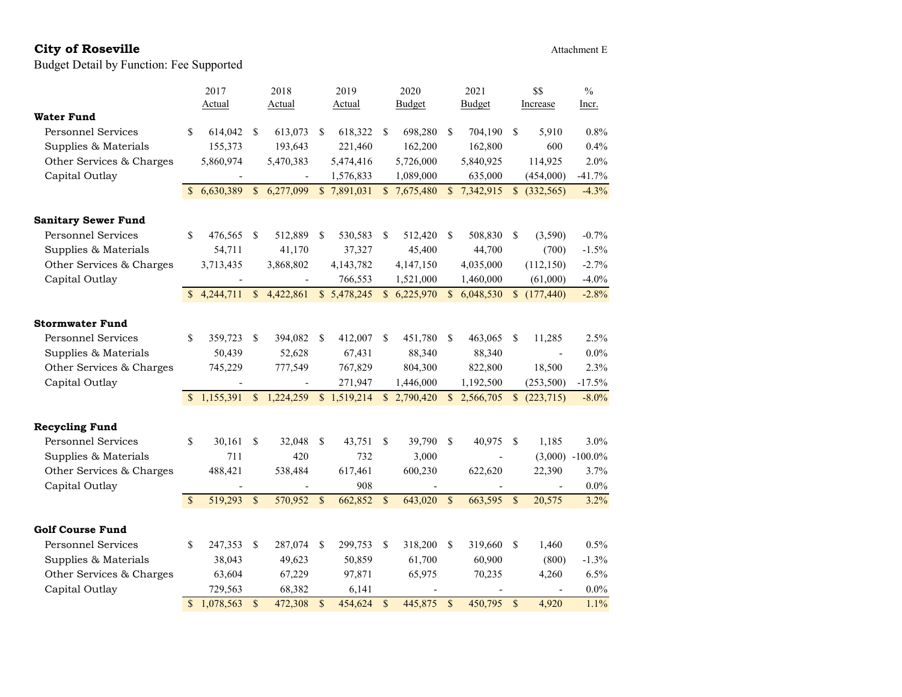# City of Roseville **City of Roseville** Attachment E

|                            |               | 2017          |              | 2018                     |             | 2019                     |               | 2020        |               | 2021       | \$\$          |              | $\%$              |
|----------------------------|---------------|---------------|--------------|--------------------------|-------------|--------------------------|---------------|-------------|---------------|------------|---------------|--------------|-------------------|
|                            |               | <b>Actual</b> |              | Actual                   |             | <b>Actual</b>            |               | Budget      |               | Budget     |               | Increase     | <u>Incr.</u>      |
| <b>Water Fund</b>          |               |               |              |                          |             |                          |               |             |               |            |               |              |                   |
| <b>Personnel Services</b>  | \$            | 614,042       | \$           | 613,073                  | \$          | 618,322                  | \$            | 698,280     | \$            | 704,190    | $\mathbb{S}$  | 5,910        | 0.8%              |
| Supplies & Materials       |               | 155,373       |              | 193,643                  |             | 221,460                  |               | 162,200     |               | 162,800    |               | 600          | 0.4%              |
| Other Services & Charges   |               | 5,860,974     |              | 5,470,383                |             | 5,474,416                |               | 5,726,000   |               | 5,840,925  |               | 114,925      | 2.0%              |
| Capital Outlay             |               |               |              | $\overline{\phantom{a}}$ |             | 1,576,833                |               | 1,089,000   |               | 635,000    |               | (454,000)    | $-41.7%$          |
|                            |               | 6,630,389     | $\mathbb{S}$ | 6,277,099                |             | $\overline{3}$ 7,891,031 |               | \$7,675,480 | $\mathbb{S}$  | 7,342,915  |               | \$ (332,565) | $-4.3%$           |
|                            |               |               |              |                          |             |                          |               |             |               |            |               |              |                   |
| <b>Sanitary Sewer Fund</b> |               |               |              |                          |             |                          |               |             |               |            |               |              |                   |
| <b>Personnel Services</b>  | \$            | 476,565       | \$           | 512,889                  | S           | 530,583                  | \$            | 512,420     | <sup>\$</sup> | 508,830    | $\mathbb{S}$  | (3,590)      | $-0.7%$           |
| Supplies & Materials       |               | 54,711        |              | 41,170                   |             | 37,327                   |               | 45,400      |               | 44,700     |               | (700)        | $-1.5%$           |
| Other Services & Charges   |               | 3,713,435     |              | 3,868,802                |             | 4,143,782                |               | 4,147,150   |               | 4,035,000  |               | (112, 150)   | $-2.7%$           |
| Capital Outlay             |               |               |              |                          |             | 766,553                  |               | 1,521,000   |               | 1,460,000  |               | (61,000)     | $-4.0%$           |
|                            |               | 4,244,711     |              | \$4,422,861              |             | \$5,478,245              | $\mathbb{S}$  | 6,225,970   | $\mathbf S$   | 6,048,530  | $\mathbb{S}$  | (177, 440)   | $-2.8%$           |
|                            |               |               |              |                          |             |                          |               |             |               |            |               |              |                   |
| <b>Stormwater Fund</b>     |               |               |              |                          |             |                          |               |             |               |            |               |              |                   |
| <b>Personnel Services</b>  | \$            | 359,723       | S            | 394,082                  | S           | 412,007                  | <sup>\$</sup> | 451,780     | S             | 463,065    | <sup>\$</sup> | 11,285       | 2.5%              |
| Supplies & Materials       |               | 50,439        |              | 52,628                   |             | 67,431                   |               | 88,340      |               | 88,340     |               |              | $0.0\%$           |
| Other Services & Charges   |               | 745,229       |              | 777,549                  |             | 767,829                  |               | 804,300     |               | 822,800    |               | 18,500       | 2.3%              |
| Capital Outlay             |               |               |              | $\overline{\phantom{a}}$ |             | 271,947                  |               | 1,446,000   |               | 1,192,500  |               | (253,500)    | $-17.5%$          |
|                            | $\mathcal{S}$ | 1,155,391     | $\mathbf{s}$ | 1,224,259                |             | \$1,519,214              |               | \$2,790,420 | $\mathbb{S}$  | 2,566,705  |               | \$ (223,715) | $-8.0\%$          |
|                            |               |               |              |                          |             |                          |               |             |               |            |               |              |                   |
| <b>Recycling Fund</b>      |               |               |              |                          |             |                          |               |             |               |            |               |              |                   |
| <b>Personnel Services</b>  | \$            | 30,161        | \$           | 32,048                   | \$          | 43,751                   | <sup>\$</sup> | 39,790      | <sup>\$</sup> | 40,975     | - \$          | 1,185        | 3.0%              |
| Supplies & Materials       |               | 711           |              | 420                      |             | 732                      |               | 3,000       |               |            |               |              | $(3,000)$ -100.0% |
| Other Services & Charges   |               | 488,421       |              | 538,484                  |             | 617,461                  |               | 600,230     |               | 622,620    |               | 22,390       | 3.7%              |
| Capital Outlay             |               |               |              |                          |             | 908                      |               |             |               |            |               |              | $0.0\%$           |
|                            | $\mathbb{S}$  | 519,293       | \$           | 570,952                  | \$          | 662,852                  | $\mathcal{S}$ | 643,020     | $\mathbb{S}$  | 663,595 \$ |               | 20,575       | 3.2%              |
| <b>Golf Course Fund</b>    |               |               |              |                          |             |                          |               |             |               |            |               |              |                   |
| <b>Personnel Services</b>  | \$            | 247,353       | \$           | 287,074                  | \$          | 299,753                  | \$            | 318,200     | S             | 319,660    | <sup>\$</sup> | 1,460        | 0.5%              |
| Supplies & Materials       |               | 38,043        |              | 49,623                   |             | 50,859                   |               | 61,700      |               | 60,900     |               | (800)        | $-1.3%$           |
| Other Services & Charges   |               | 63,604        |              | 67,229                   |             | 97,871                   |               | 65,975      |               | 70,235     |               | 4,260        | 6.5%              |
| Capital Outlay             |               | 729,563       |              | 68,382                   |             | 6,141                    |               |             |               |            |               |              | $0.0\%$           |
|                            | $\mathcal{S}$ | 1,078,563     | $\mathbf S$  | 472,308                  | $\mathbf S$ | 454,624                  | $\mathcal{S}$ | 445,875     | $\mathcal{S}$ | 450,795    | $\mathcal{S}$ | 4,920        | 1.1%              |